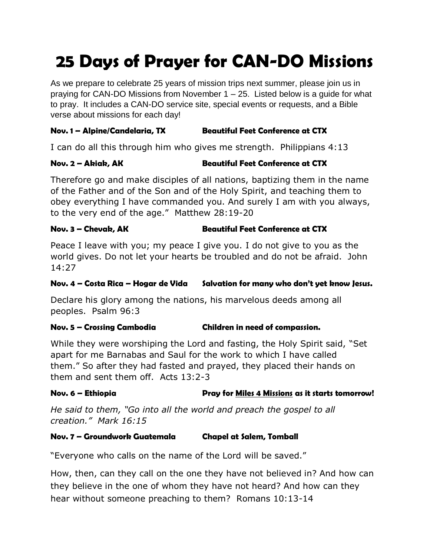# **25 Days of Prayer for CAN-DO Missions**

As we prepare to celebrate 25 years of mission trips next summer, please join us in praying for CAN-DO Missions from November  $1 - 25$ . Listed below is a guide for what to pray. It includes a CAN-DO service site, special events or requests, and a Bible verse about missions for each day!

# **Nov. 1 – Alpine/Candelaria, TX Beautiful Feet Conference at CTX**

I can do all this through him who gives me strength. Philippians 4:13

# **Nov. 2 – Akiak, AK Beautiful Feet Conference at CTX**

Therefore go and make disciples of all nations, baptizing them in the name of the Father and of the Son and of the Holy Spirit, and teaching them to obey everything I have commanded you. And surely I am with you always, to the very end of the age." Matthew 28:19-20

# **Nov. 3 – Chevak, AK Beautiful Feet Conference at CTX**

Peace I leave with you; my peace I give you. I do not give to you as the world gives. Do not let your hearts be troubled and do not be afraid. John 14:27

# **Nov. 4 – Costa Rica – Hogar de Vida Salvation for many who don't yet know Jesus.**

Declare his glory among the nations, his marvelous deeds among all peoples. Psalm 96:3

### **Nov. 5 – Crossing Cambodia Children in need of compassion.**

While they were worshiping the Lord and fasting, the Holy Spirit said, "Set apart for me Barnabas and Saul for the work to which I have called them." So after they had fasted and prayed, they placed their hands on them and sent them off. Acts 13:2-3

# Nov. 6 – Ethiopia **Pray for Miles 4 Missions** as it starts tomorrow!

*He said to them, "Go into all the world and preach the gospel to all creation." Mark 16:15*

### **Nov. 7 – Groundwork Guatemala Chapel at Salem, Tomball**

"Everyone who calls on the name of the Lord will be saved."

How, then, can they call on the one they have not believed in? And how can they believe in the one of whom they have not heard? And how can they hear without someone preaching to them? Romans 10:13-14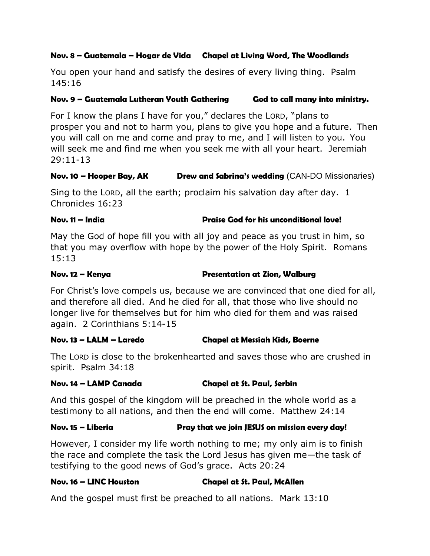#### **Nov. 8 – Guatemala – Hogar de Vida Chapel at Living Word, The Woodlands**

You open your hand and satisfy the desires of every living thing. Psalm 145:16

#### **Nov. 9 – Guatemala Lutheran Youth Gathering God to call many into ministry.**

For I know the plans I have for you," declares the LORD, "plans to prosper you and not to harm you, plans to give you hope and a future. Then you will call on me and come and pray to me, and I will listen to you. You will seek me and find me when you seek me with all your heart. Jeremiah 29:11-13

#### **Nov. 10 – Hooper Bay, AK Drew and Sabrina's wedding** (CAN-DO Missionaries)

Sing to the LORD, all the earth; proclaim his salvation day after day. 1 Chronicles 16:23

#### **Nov. 11 – India Praise God for his unconditional love!**

May the God of hope fill you with all joy and peace as you trust in him, so that you may overflow with hope by the power of the Holy Spirit. Romans 15:13

**Nov. 12 – Kenya Presentation at Zion, Walburg**

For Christ's love compels us, because we are convinced that one died for all, and therefore all died. And he died for all, that those who live should no longer live for themselves but for him who died for them and was raised again. 2 Corinthians 5:14-15

#### **Nov. 13 – LALM – Laredo Chapel at Messiah Kids, Boerne**

The LORD is close to the brokenhearted and saves those who are crushed in spirit. Psalm 34:18

#### **Nov. 14 – LAMP Canada Chapel at St. Paul, Serbin**

And this gospel of the kingdom will be preached in the whole world as a testimony to all nations, and then the end will come. Matthew 24:14

### **Nov. 15 – Liberia Pray that we join JESUS on mission every day!**

However, I consider my life worth nothing to me; my only aim is to finish the race and complete the task the Lord Jesus has given me—the task of testifying to the good news of God's grace. Acts 20:24

### **Nov. 16 – LINC Houston Chapel at St. Paul, McAllen**

And the gospel must first be preached to all nations. Mark 13:10